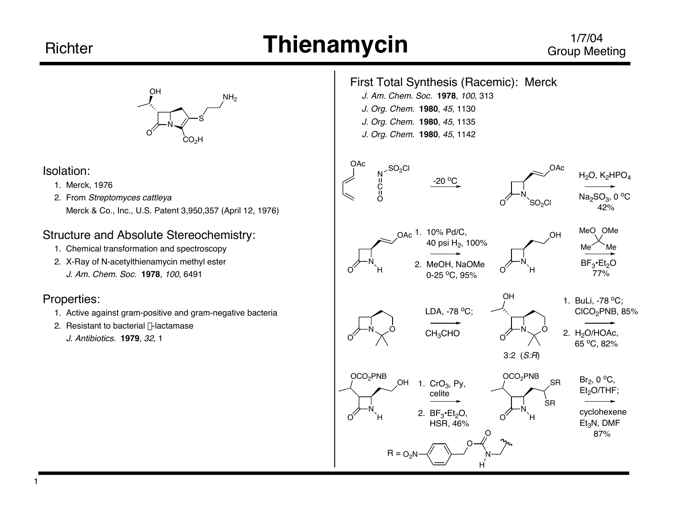## **Thienamycin**

#### 1/7/04 Group Meeting



#### Isolation:

- 1. Merck, 1976
- 2. From Streptomyces cattleya Merck & Co., Inc., U.S. Patent 3,950,357 (April 12, 1976)

### Structure and Absolute Stereochemistry:

- 1. Chemical transformation and spectroscopy
- 2. X-Ray of N-acetylthienamycin methyl ester J. Am. Chem. Soc. **1978**, 100, 6491

#### Properties:

- 1. Active against gram-positive and gram-negative bacteria
- 2. Resistant to bacterial  $\beta$ -lactamase

J. Antibiotics. **1979**, 32, 1

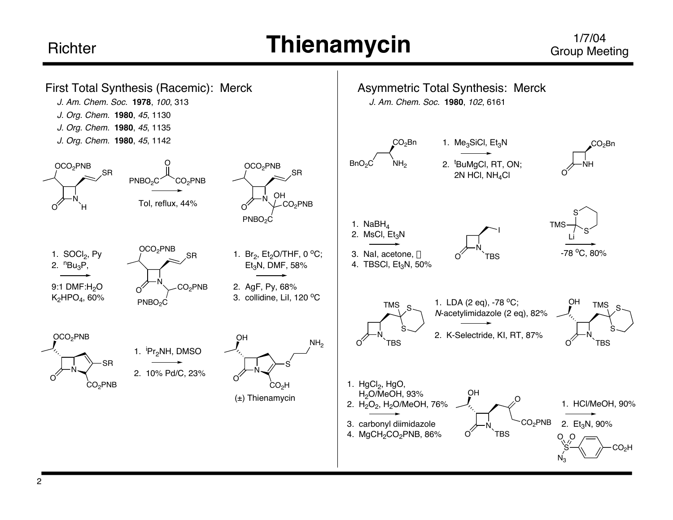## **Thienamycin**

#### 1/7/04 Group Meeting

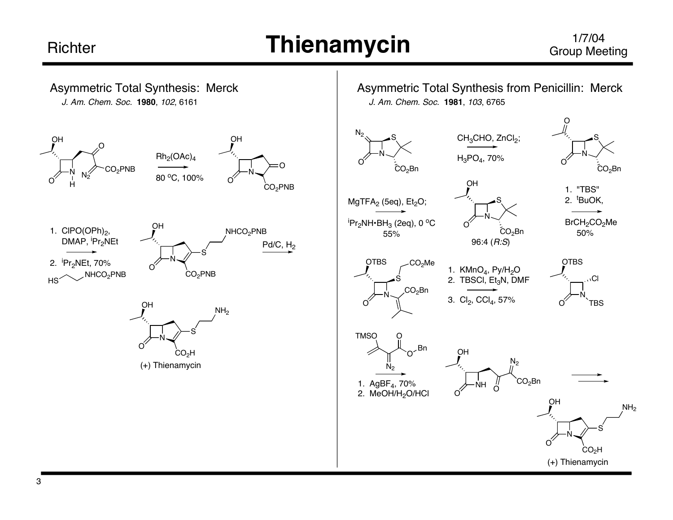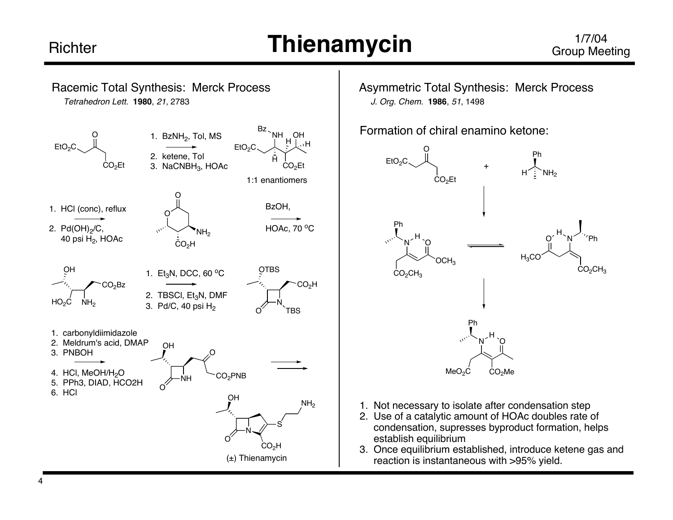## **Thienamycin**



Asymmetric Total Synthesis: Merck Process J. Org. Chem. **1986**, 51, 1498

Formation of chiral enamino ketone:



- 1. Not necessary to isolate after condensation step
- 2. Use of a catalytic amount of HOAc doubles rate of condensation, supresses byproduct formation, helps establish equilibrium
- 3. Once equilibrium established, introduce ketene gas and reaction is instantaneous with >95% yield.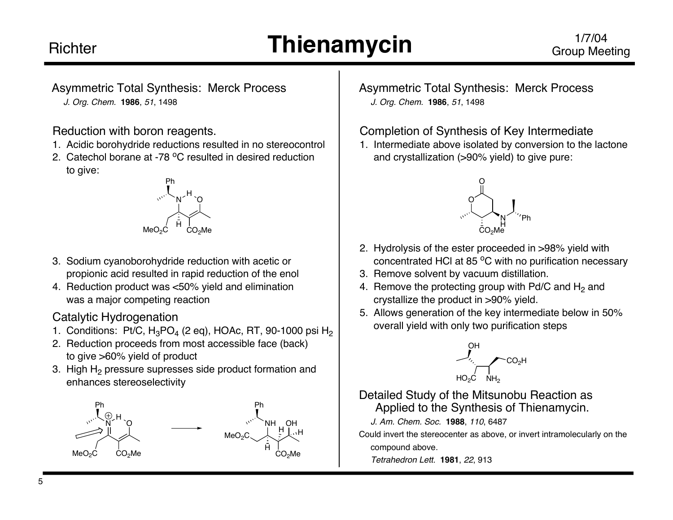# **Thienamycin**

Asymmetric Total Synthesis: Merck Process J. Org. Chem. **1986**, 51, 1498

#### Reduction with boron reagents.

- 1. Acidic borohydride reductions resulted in no stereocontrol
- 2. Catechol borane at -78  $^{\circ}$ C resulted in desired reduction to give:



- 3. Sodium cyanoborohydride reduction with acetic or propionic acid resulted in rapid reduction of the enol
- 4. Reduction product was <50% yield and elimination was a major competing reaction

#### Catalytic Hydrogenation

- 1. Conditions: Pt/C,  $H_3PO_4$  (2 eq), HOAc, RT, 90-1000 psi  $H_2$
- 2. Reduction proceeds from most accessible face (back) to give >60% yield of product
- 3. High H<sub>2</sub> pressure supresses side product formation and enhances stereoselectivity



Asymmetric Total Synthesis: Merck Process J. Org. Chem. **1986**, 51, 1498

#### Completion of Synthesis of Key Intermediate

1. Intermediate above isolated by conversion to the lactone and crystallization (>90% yield) to give pure:



- 2. Hydrolysis of the ester proceeded in >98% yield with concentrated HCl at 85 °C with no purification necessary
- 3. Remove solvent by vacuum distillation.
- 4. Remove the protecting group with Pd/C and  $H_2$  and crystallize the product in >90% yield.
- 5. Allows generation of the key intermediate below in 50% overall yield with only two purification steps



#### Detailed Study of the Mitsunobu Reaction as Applied to the Synthesis of Thienamycin.

J. Am. Chem. Soc. **1988**, 110, 6487

Could invert the stereocenter as above, or invert intramolecularly on the compound above.

Tetrahedron Lett. **1981**, 22, 913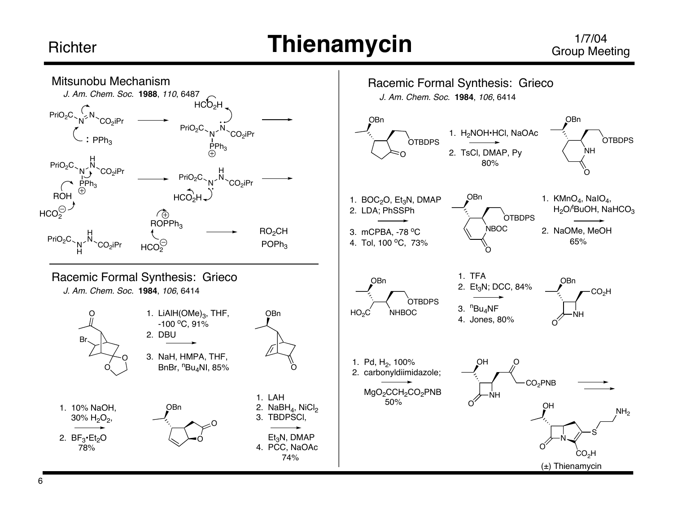## **Thienamycin**

#### 1/7/04 Group Meeting

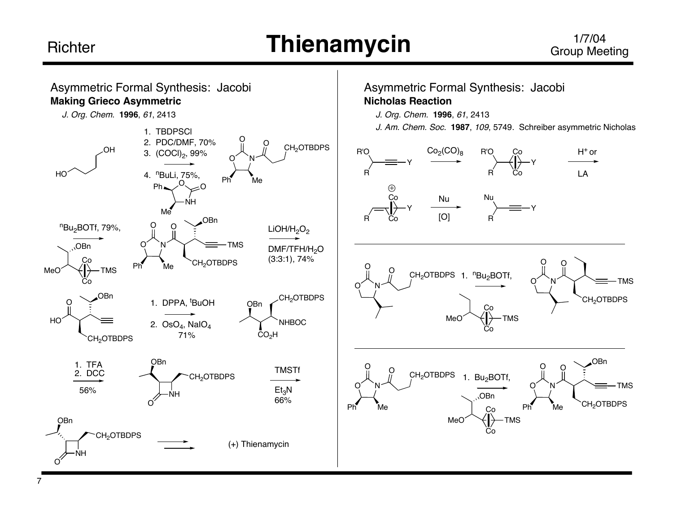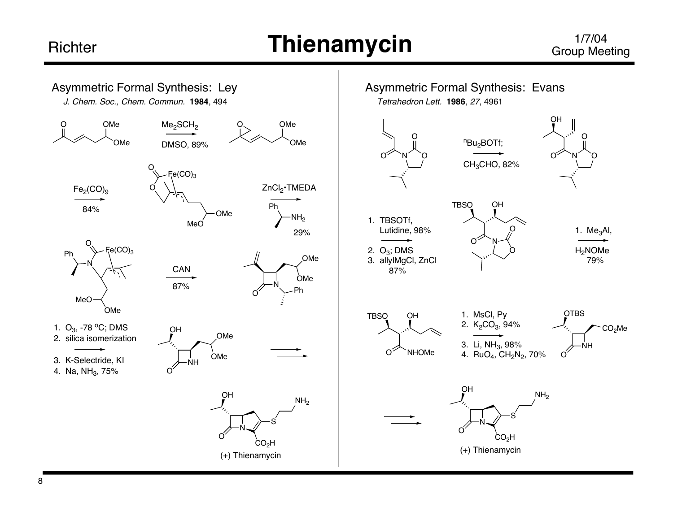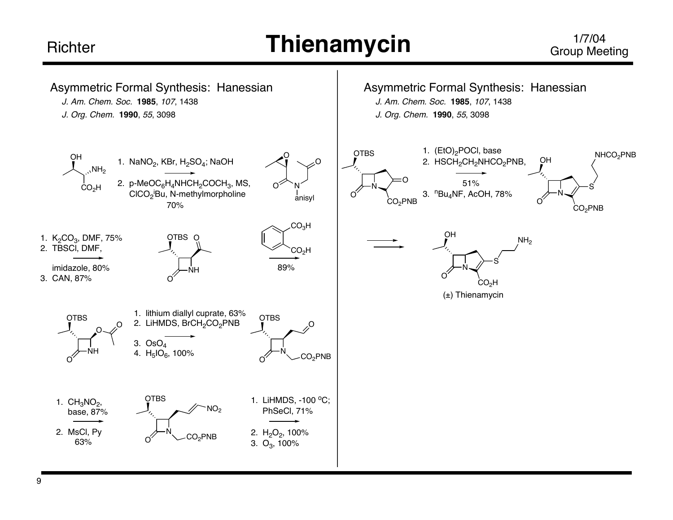## **Thienamycin**

#### 1/7/04 Group Meeting

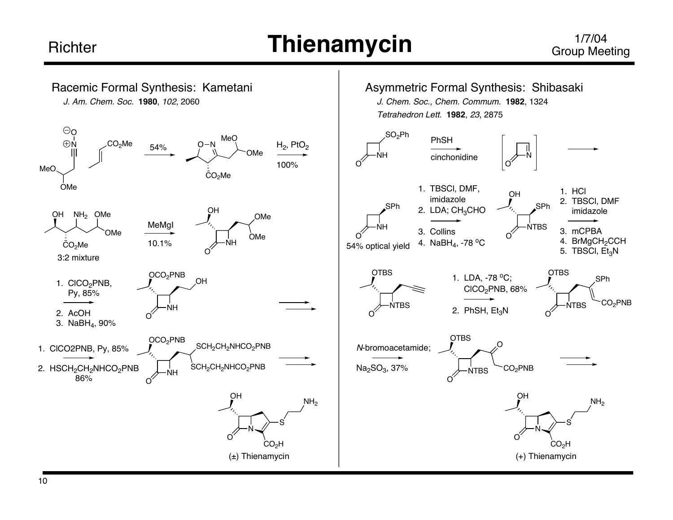